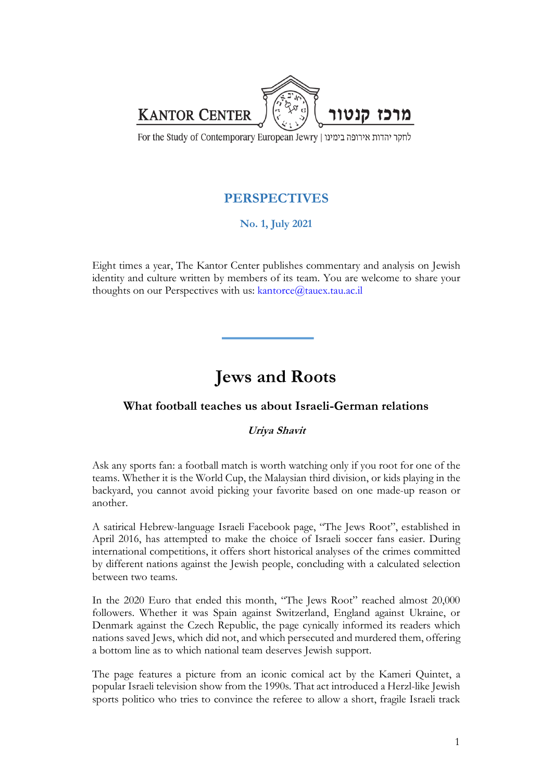

For the Study of Contemporary European Jewry | לחקר יהדות אירופה בימינו

## **PERSPECTIVES**

**No. 1, July 2021**

Eight times a year, The Kantor Center publishes commentary and analysis on Jewish identity and culture written by members of its team. You are welcome to share your thoughts on our Perspectives with us: kantorce@tauex.tau.ac.il

## **Jews and Roots**

## **What football teaches us about Israeli-German relations**

## **Uriya Shavit**

Ask any sports fan: a football match is worth watching only if you root for one of the teams. Whether it is the World Cup, the Malaysian third division, or kids playing in the backyard, you cannot avoid picking your favorite based on one made-up reason or another.

A satirical Hebrew-language Israeli Facebook page, "The Jews Root", established in April 2016, has attempted to make the choice of Israeli soccer fans easier. During international competitions, it offers short historical analyses of the crimes committed by different nations against the Jewish people, concluding with a calculated selection between two teams.

In the 2020 Euro that ended this month, "The Jews Root" reached almost 20,000 followers. Whether it was Spain against Switzerland, England against Ukraine, or Denmark against the Czech Republic, the page cynically informed its readers which nations saved Jews, which did not, and which persecuted and murdered them, offering a bottom line as to which national team deserves Jewish support.

The page features a picture from an iconic comical act by the Kameri Quintet, a popular Israeli television show from the 1990s. That act introduced a Herzl-like Jewish sports politico who tries to convince the referee to allow a short, fragile Israeli track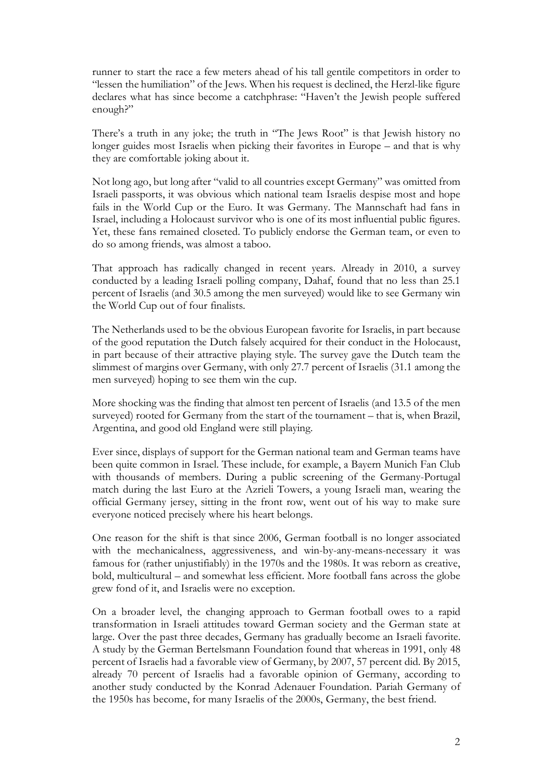runner to start the race a few meters ahead of his tall gentile competitors in order to "lessen the humiliation" of the Jews. When his request is declined, the Herzl-like figure declares what has since become a catchphrase: "Haven't the Jewish people suffered enough?"

There's a truth in any joke; the truth in "The Jews Root" is that Jewish history no longer guides most Israelis when picking their favorites in Europe – and that is why they are comfortable joking about it.

Not long ago, but long after "valid to all countries except Germany" was omitted from Israeli passports, it was obvious which national team Israelis despise most and hope fails in the World Cup or the Euro. It was Germany. The Mannschaft had fans in Israel, including a Holocaust survivor who is one of its most influential public figures. Yet, these fans remained closeted. To publicly endorse the German team, or even to do so among friends, was almost a taboo.

That approach has radically changed in recent years. Already in 2010, a survey conducted by a leading Israeli polling company, Dahaf, found that no less than 25.1 percent of Israelis (and 30.5 among the men surveyed) would like to see Germany win the World Cup out of four finalists.

The Netherlands used to be the obvious European favorite for Israelis, in part because of the good reputation the Dutch falsely acquired for their conduct in the Holocaust, in part because of their attractive playing style. The survey gave the Dutch team the slimmest of margins over Germany, with only 27.7 percent of Israelis (31.1 among the men surveyed) hoping to see them win the cup.

More shocking was the finding that almost ten percent of Israelis (and 13.5 of the men surveyed) rooted for Germany from the start of the tournament – that is, when Brazil, Argentina, and good old England were still playing.

Ever since, displays of support for the German national team and German teams have been quite common in Israel. These include, for example, a Bayern Munich Fan Club with thousands of members. During a public screening of the Germany-Portugal match during the last Euro at the Azrieli Towers, a young Israeli man, wearing the official Germany jersey, sitting in the front row, went out of his way to make sure everyone noticed precisely where his heart belongs.

One reason for the shift is that since 2006, German football is no longer associated with the mechanicalness, aggressiveness, and win-by-any-means-necessary it was famous for (rather unjustifiably) in the 1970s and the 1980s. It was reborn as creative, bold, multicultural – and somewhat less efficient. More football fans across the globe grew fond of it, and Israelis were no exception.

On a broader level, the changing approach to German football owes to a rapid transformation in Israeli attitudes toward German society and the German state at large. Over the past three decades, Germany has gradually become an Israeli favorite. A study by the German Bertelsmann Foundation found that whereas in 1991, only 48 percent of Israelis had a favorable view of Germany, by 2007, 57 percent did. By 2015, already 70 percent of Israelis had a favorable opinion of Germany, according to another study conducted by the Konrad Adenauer Foundation. Pariah Germany of the 1950s has become, for many Israelis of the 2000s, Germany, the best friend.